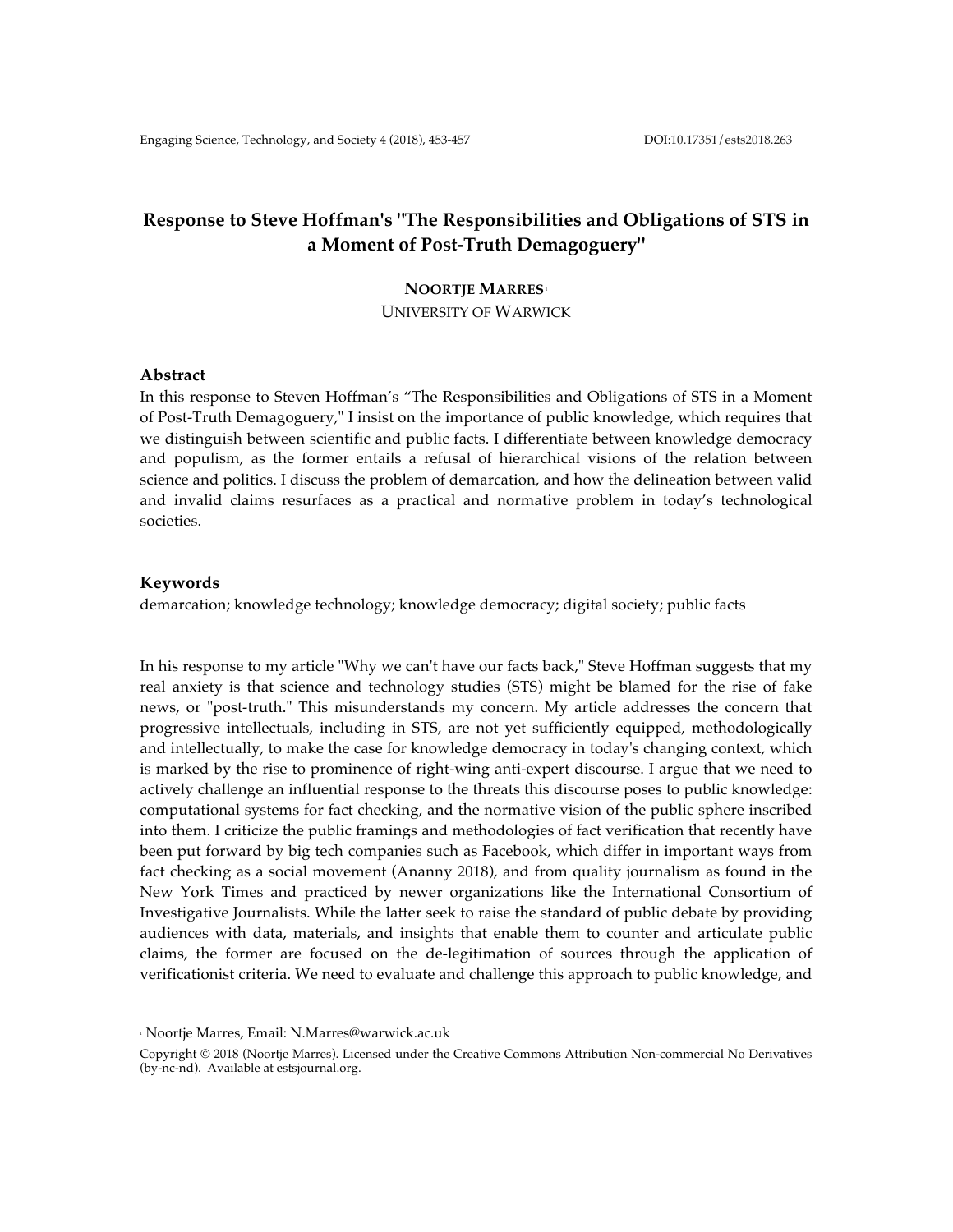# **Response to Steve Hoffman's "The Responsibilities and Obligations of STS in a Moment of Post-Truth Demagoguery"**

# **NOORTJE MARRES**<sup>1</sup> UNIVERSITY OF WARWICK

### **Abstract**

In this response to Steven Hoffman's "The Responsibilities and Obligations of STS in a Moment of Post-Truth Demagoguery," I insist on the importance of public knowledge, which requires that we distinguish between scientific and public facts. I differentiate between knowledge democracy and populism, as the former entails a refusal of hierarchical visions of the relation between science and politics. I discuss the problem of demarcation, and how the delineation between valid and invalid claims resurfaces as a practical and normative problem in today's technological societies.

#### **Keywords**

demarcation; knowledge technology; knowledge democracy; digital society; public facts

In his response to my article "Why we can't have our facts back," Steve Hoffman suggests that my real anxiety is that science and technology studies (STS) might be blamed for the rise of fake news, or "post-truth." This misunderstands my concern. My article addresses the concern that progressive intellectuals, including in STS, are not yet sufficiently equipped, methodologically and intellectually, to make the case for knowledge democracy in today's changing context, which is marked by the rise to prominence of right-wing anti-expert discourse. I argue that we need to actively challenge an influential response to the threats this discourse poses to public knowledge: computational systems for fact checking, and the normative vision of the public sphere inscribed into them. I criticize the public framings and methodologies of fact verification that recently have been put forward by big tech companies such as Facebook, which differ in important ways from fact checking as a social movement (Ananny 2018), and from quality journalism as found in the New York Times and practiced by newer organizations like the International Consortium of Investigative Journalists. While the latter seek to raise the standard of public debate by providing audiences with data, materials, and insights that enable them to counter and articulate public claims, the former are focused on the de-legitimation of sources through the application of verificationist criteria. We need to evaluate and challenge this approach to public knowledge, and

 

<sup>1</sup> Noortje Marres, Email: N.Marres@warwick.ac.uk

Copyright © 2018 (Noortje Marres). Licensed under the Creative Commons Attribution Non-commercial No Derivatives (by-nc-nd). Available at estsjournal.org.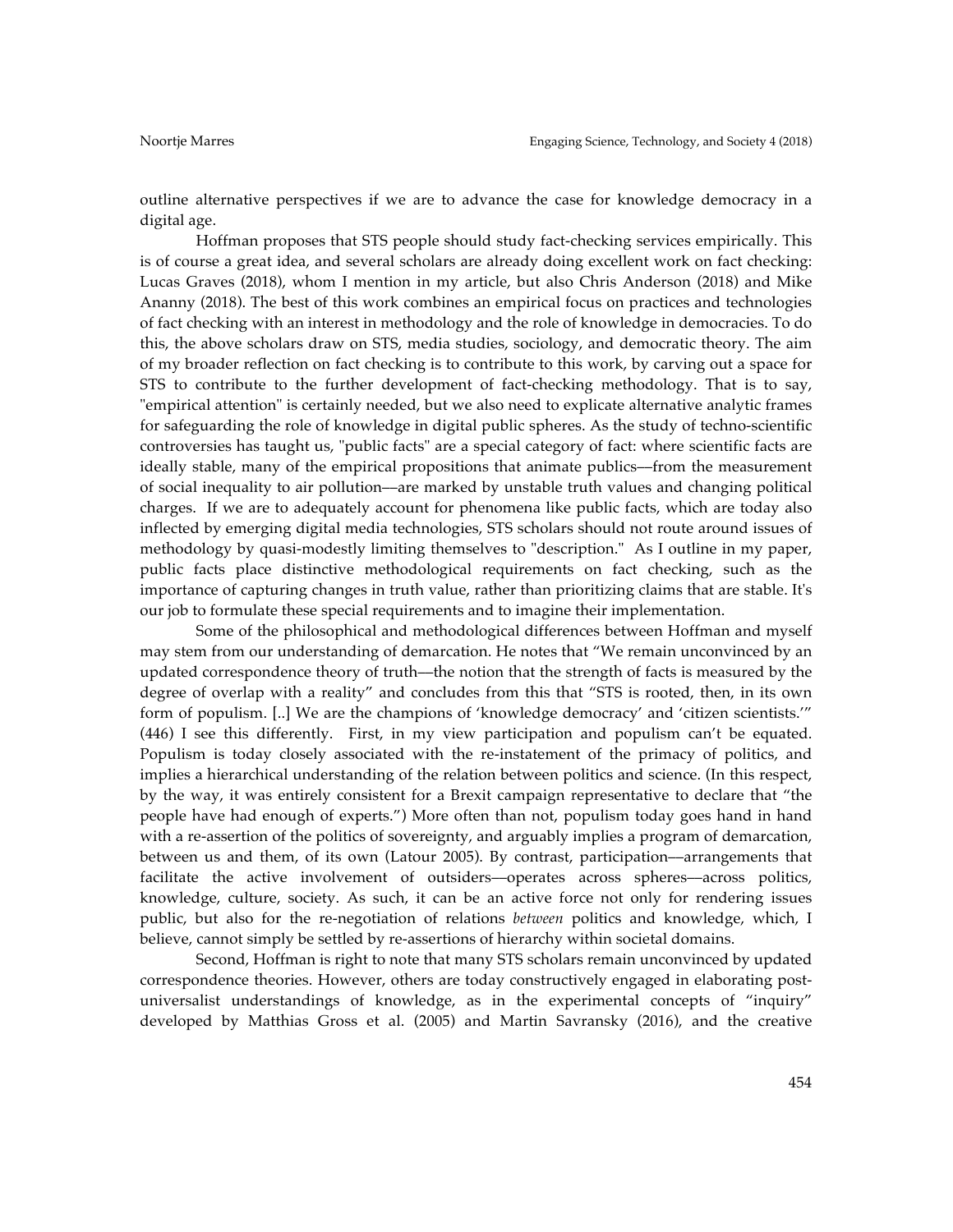outline alternative perspectives if we are to advance the case for knowledge democracy in a digital age.

Hoffman proposes that STS people should study fact-checking services empirically. This is of course a great idea, and several scholars are already doing excellent work on fact checking: Lucas Graves (2018), whom I mention in my article, but also Chris Anderson (2018) and Mike Ananny (2018). The best of this work combines an empirical focus on practices and technologies of fact checking with an interest in methodology and the role of knowledge in democracies. To do this, the above scholars draw on STS, media studies, sociology, and democratic theory. The aim of my broader reflection on fact checking is to contribute to this work, by carving out a space for STS to contribute to the further development of fact-checking methodology. That is to say, "empirical attention" is certainly needed, but we also need to explicate alternative analytic frames for safeguarding the role of knowledge in digital public spheres. As the study of techno-scientific controversies has taught us, "public facts" are a special category of fact: where scientific facts are ideally stable, many of the empirical propositions that animate publics––from the measurement of social inequality to air pollution––are marked by unstable truth values and changing political charges. If we are to adequately account for phenomena like public facts, which are today also inflected by emerging digital media technologies, STS scholars should not route around issues of methodology by quasi-modestly limiting themselves to "description." As I outline in my paper, public facts place distinctive methodological requirements on fact checking, such as the importance of capturing changes in truth value, rather than prioritizing claims that are stable. It's our job to formulate these special requirements and to imagine their implementation.

Some of the philosophical and methodological differences between Hoffman and myself may stem from our understanding of demarcation. He notes that "We remain unconvinced by an updated correspondence theory of truth––the notion that the strength of facts is measured by the degree of overlap with a reality" and concludes from this that "STS is rooted, then, in its own form of populism. [..] We are the champions of 'knowledge democracy' and 'citizen scientists.'" (446) I see this differently. First, in my view participation and populism can't be equated. Populism is today closely associated with the re-instatement of the primacy of politics, and implies a hierarchical understanding of the relation between politics and science. (In this respect, by the way, it was entirely consistent for a Brexit campaign representative to declare that "the people have had enough of experts.") More often than not, populism today goes hand in hand with a re-assertion of the politics of sovereignty, and arguably implies a program of demarcation, between us and them, of its own (Latour 2005). By contrast, participation––arrangements that facilitate the active involvement of outsiders––operates across spheres––across politics, knowledge, culture, society. As such, it can be an active force not only for rendering issues public, but also for the re-negotiation of relations *between* politics and knowledge, which, I believe, cannot simply be settled by re-assertions of hierarchy within societal domains.

Second, Hoffman is right to note that many STS scholars remain unconvinced by updated correspondence theories. However, others are today constructively engaged in elaborating postuniversalist understandings of knowledge, as in the experimental concepts of "inquiry" developed by Matthias Gross et al. (2005) and Martin Savransky (2016), and the creative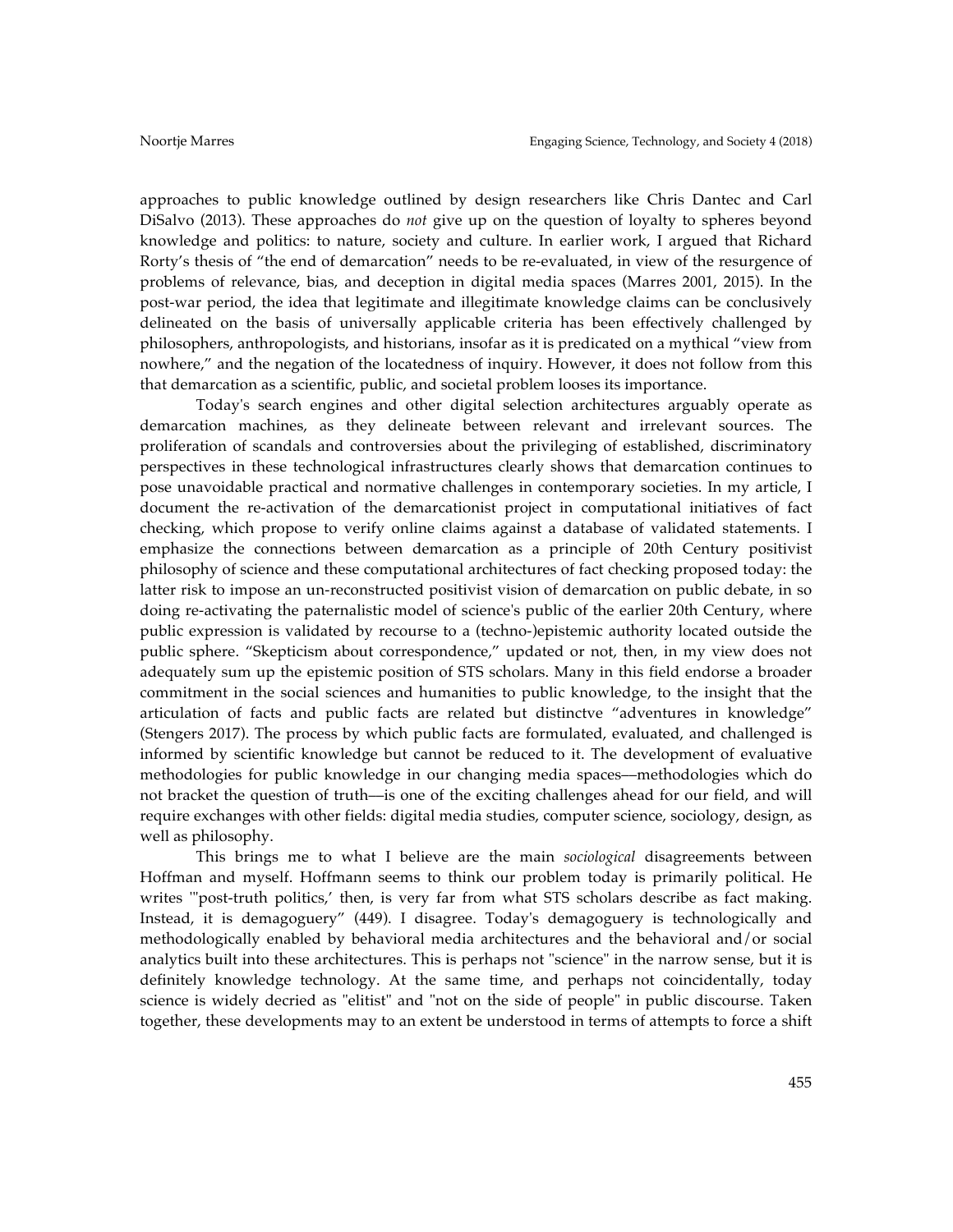approaches to public knowledge outlined by design researchers like Chris Dantec and Carl DiSalvo (2013). These approaches do *not* give up on the question of loyalty to spheres beyond knowledge and politics: to nature, society and culture. In earlier work, I argued that Richard Rorty's thesis of "the end of demarcation" needs to be re-evaluated, in view of the resurgence of problems of relevance, bias, and deception in digital media spaces (Marres 2001, 2015). In the post-war period, the idea that legitimate and illegitimate knowledge claims can be conclusively delineated on the basis of universally applicable criteria has been effectively challenged by philosophers, anthropologists, and historians, insofar as it is predicated on a mythical "view from nowhere," and the negation of the locatedness of inquiry. However, it does not follow from this that demarcation as a scientific, public, and societal problem looses its importance.

Today's search engines and other digital selection architectures arguably operate as demarcation machines, as they delineate between relevant and irrelevant sources. The proliferation of scandals and controversies about the privileging of established, discriminatory perspectives in these technological infrastructures clearly shows that demarcation continues to pose unavoidable practical and normative challenges in contemporary societies. In my article, I document the re-activation of the demarcationist project in computational initiatives of fact checking, which propose to verify online claims against a database of validated statements. I emphasize the connections between demarcation as a principle of 20th Century positivist philosophy of science and these computational architectures of fact checking proposed today: the latter risk to impose an un-reconstructed positivist vision of demarcation on public debate, in so doing re-activating the paternalistic model of science's public of the earlier 20th Century, where public expression is validated by recourse to a (techno-)epistemic authority located outside the public sphere. "Skepticism about correspondence," updated or not, then, in my view does not adequately sum up the epistemic position of STS scholars. Many in this field endorse a broader commitment in the social sciences and humanities to public knowledge, to the insight that the articulation of facts and public facts are related but distinctve "adventures in knowledge" (Stengers 2017). The process by which public facts are formulated, evaluated, and challenged is informed by scientific knowledge but cannot be reduced to it. The development of evaluative methodologies for public knowledge in our changing media spaces––methodologies which do not bracket the question of truth––is one of the exciting challenges ahead for our field, and will require exchanges with other fields: digital media studies, computer science, sociology, design, as well as philosophy.

This brings me to what I believe are the main *sociological* disagreements between Hoffman and myself. Hoffmann seems to think our problem today is primarily political. He writes '"post-truth politics,' then, is very far from what STS scholars describe as fact making. Instead, it is demagoguery" (449). I disagree. Today's demagoguery is technologically and methodologically enabled by behavioral media architectures and the behavioral and/or social analytics built into these architectures. This is perhaps not "science" in the narrow sense, but it is definitely knowledge technology. At the same time, and perhaps not coincidentally, today science is widely decried as "elitist" and "not on the side of people" in public discourse. Taken together, these developments may to an extent be understood in terms of attempts to force a shift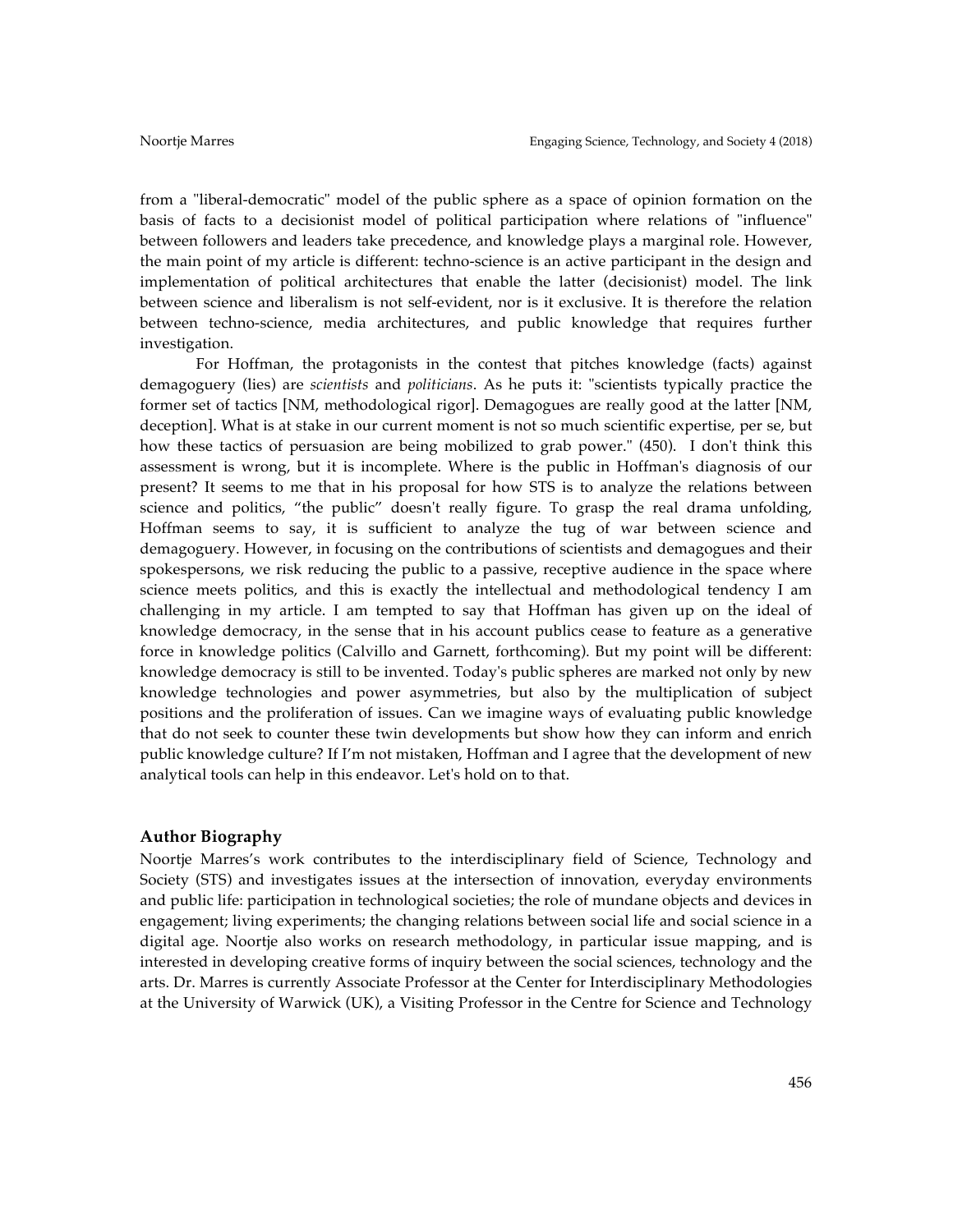from a "liberal-democratic" model of the public sphere as a space of opinion formation on the basis of facts to a decisionist model of political participation where relations of "influence" between followers and leaders take precedence, and knowledge plays a marginal role. However, the main point of my article is different: techno-science is an active participant in the design and implementation of political architectures that enable the latter (decisionist) model. The link between science and liberalism is not self-evident, nor is it exclusive. It is therefore the relation between techno-science, media architectures, and public knowledge that requires further investigation.

For Hoffman, the protagonists in the contest that pitches knowledge (facts) against demagoguery (lies) are *scientists* and *politicians*. As he puts it: "scientists typically practice the former set of tactics [NM, methodological rigor]. Demagogues are really good at the latter [NM, deception]. What is at stake in our current moment is not so much scientific expertise, per se, but how these tactics of persuasion are being mobilized to grab power." (450). I don't think this assessment is wrong, but it is incomplete. Where is the public in Hoffman's diagnosis of our present? It seems to me that in his proposal for how STS is to analyze the relations between science and politics, "the public" doesn't really figure. To grasp the real drama unfolding, Hoffman seems to say, it is sufficient to analyze the tug of war between science and demagoguery. However, in focusing on the contributions of scientists and demagogues and their spokespersons, we risk reducing the public to a passive, receptive audience in the space where science meets politics, and this is exactly the intellectual and methodological tendency I am challenging in my article. I am tempted to say that Hoffman has given up on the ideal of knowledge democracy, in the sense that in his account publics cease to feature as a generative force in knowledge politics (Calvillo and Garnett, forthcoming). But my point will be different: knowledge democracy is still to be invented. Today's public spheres are marked not only by new knowledge technologies and power asymmetries, but also by the multiplication of subject positions and the proliferation of issues. Can we imagine ways of evaluating public knowledge that do not seek to counter these twin developments but show how they can inform and enrich public knowledge culture? If I'm not mistaken, Hoffman and I agree that the development of new analytical tools can help in this endeavor. Let's hold on to that.

#### **Author Biography**

Noortje Marres's work contributes to the interdisciplinary field of Science, Technology and Society (STS) and investigates issues at the intersection of innovation, everyday environments and public life: participation in technological societies; the role of mundane objects and devices in engagement; living experiments; the changing relations between social life and social science in a digital age. Noortje also works on research methodology, in particular issue mapping, and is interested in developing creative forms of inquiry between the social sciences, technology and the arts. Dr. Marres is currently Associate Professor at the Center for Interdisciplinary Methodologies at the University of Warwick (UK), a Visiting Professor in the Centre for Science and Technology